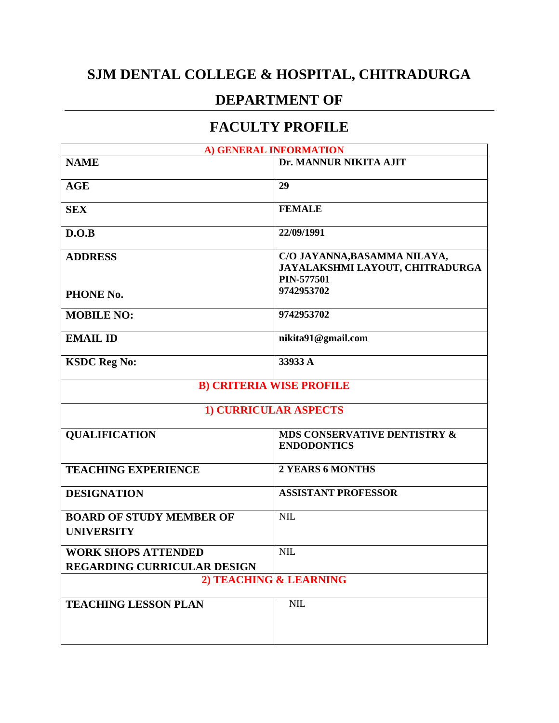## **SJM DENTAL COLLEGE & HOSPITAL, CHITRADURGA**

## **DEPARTMENT OF**

## **FACULTY PROFILE**

| A) GENERAL INFORMATION                               |                                                                                      |  |
|------------------------------------------------------|--------------------------------------------------------------------------------------|--|
| <b>NAME</b>                                          | Dr. MANNUR NIKITA AJIT                                                               |  |
| <b>AGE</b>                                           | 29                                                                                   |  |
| <b>SEX</b>                                           | <b>FEMALE</b>                                                                        |  |
| D.O.B                                                | 22/09/1991                                                                           |  |
| <b>ADDRESS</b>                                       | C/O JAYANNA, BASAMMA NILAYA,<br>JAYALAKSHMI LAYOUT, CHITRADURGA<br><b>PIN-577501</b> |  |
| PHONE No.                                            | 9742953702                                                                           |  |
| <b>MOBILE NO:</b>                                    | 9742953702                                                                           |  |
| <b>EMAIL ID</b>                                      | nikita91@gmail.com                                                                   |  |
| <b>KSDC Reg No:</b>                                  | 33933 A                                                                              |  |
| <b>B) CRITERIA WISE PROFILE</b>                      |                                                                                      |  |
| <b>1) CURRICULAR ASPECTS</b>                         |                                                                                      |  |
| <b>QUALIFICATION</b>                                 | MDS CONSERVATIVE DENTISTRY &<br><b>ENDODONTICS</b>                                   |  |
| <b>TEACHING EXPERIENCE</b>                           | <b>2 YEARS 6 MONTHS</b>                                                              |  |
| <b>DESIGNATION</b>                                   | <b>ASSISTANT PROFESSOR</b>                                                           |  |
| <b>BOARD OF STUDY MEMBER OF</b><br><b>UNIVERSITY</b> | <b>NIL</b>                                                                           |  |
| <b>WORK SHOPS ATTENDED</b>                           | <b>NIL</b>                                                                           |  |
| <b>REGARDING CURRICULAR DESIGN</b>                   |                                                                                      |  |
| 2) TEACHING & LEARNING                               |                                                                                      |  |
| <b>TEACHING LESSON PLAN</b>                          | NIL                                                                                  |  |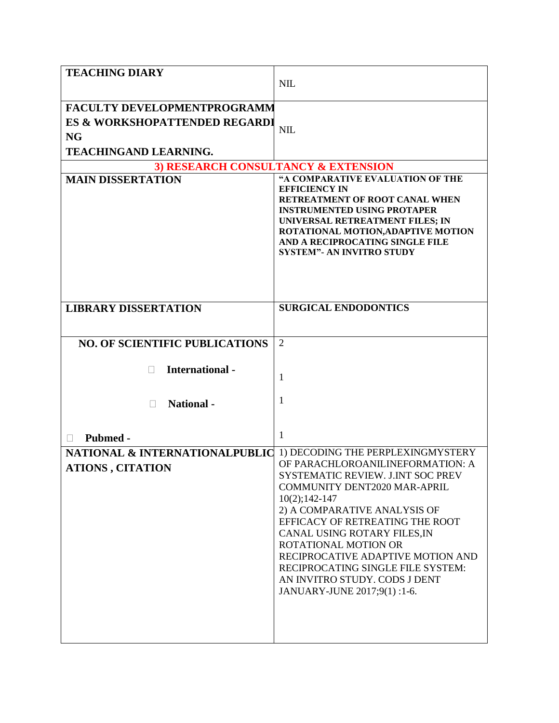| <b>TEACHING DIARY</b>                                                                                            | <b>NIL</b>                                                                                                                                                                                                                                                                                                                                                                                             |  |
|------------------------------------------------------------------------------------------------------------------|--------------------------------------------------------------------------------------------------------------------------------------------------------------------------------------------------------------------------------------------------------------------------------------------------------------------------------------------------------------------------------------------------------|--|
| <b>FACULTY DEVELOPMENTPROGRAMM</b><br>ES & WORKSHOPATTENDED REGARDI<br><b>NG</b><br><b>TEACHINGAND LEARNING.</b> | <b>NIL</b>                                                                                                                                                                                                                                                                                                                                                                                             |  |
| 3) RESEARCH CONSULTANCY & EXTENSION                                                                              |                                                                                                                                                                                                                                                                                                                                                                                                        |  |
| <b>MAIN DISSERTATION</b>                                                                                         | "A COMPARATIVE EVALUATION OF THE<br><b>EFFICIENCY IN</b><br>RETREATMENT OF ROOT CANAL WHEN<br><b>INSTRUMENTED USING PROTAPER</b><br>UNIVERSAL RETREATMENT FILES; IN<br>ROTATIONAL MOTION, ADAPTIVE MOTION<br>AND A RECIPROCATING SINGLE FILE<br><b>SYSTEM"- AN INVITRO STUDY</b>                                                                                                                       |  |
| <b>LIBRARY DISSERTATION</b>                                                                                      | <b>SURGICAL ENDODONTICS</b>                                                                                                                                                                                                                                                                                                                                                                            |  |
| <b>NO. OF SCIENTIFIC PUBLICATIONS</b>                                                                            | 2                                                                                                                                                                                                                                                                                                                                                                                                      |  |
| <b>International</b> -<br>$\mathbf{L}$<br><b>National</b> -                                                      | 1<br>1                                                                                                                                                                                                                                                                                                                                                                                                 |  |
| Pubmed -                                                                                                         | 1                                                                                                                                                                                                                                                                                                                                                                                                      |  |
| NATIONAL & INTERNATIONALPUBLIC 1) DECODING THE PERPLEXINGMYSTERY<br><b>ATIONS, CITATION</b>                      | OF PARACHLOROANILINEFORMATION: A<br>SYSTEMATIC REVIEW. J.INT SOC PREV<br><b>COMMUNITY DENT2020 MAR-APRIL</b><br>$10(2); 142-147$<br>2) A COMPARATIVE ANALYSIS OF<br>EFFICACY OF RETREATING THE ROOT<br>CANAL USING ROTARY FILES, IN<br>ROTATIONAL MOTION OR<br>RECIPROCATIVE ADAPTIVE MOTION AND<br>RECIPROCATING SINGLE FILE SYSTEM:<br>AN INVITRO STUDY. CODS J DENT<br>JANUARY-JUNE 2017;9(1) :1-6. |  |